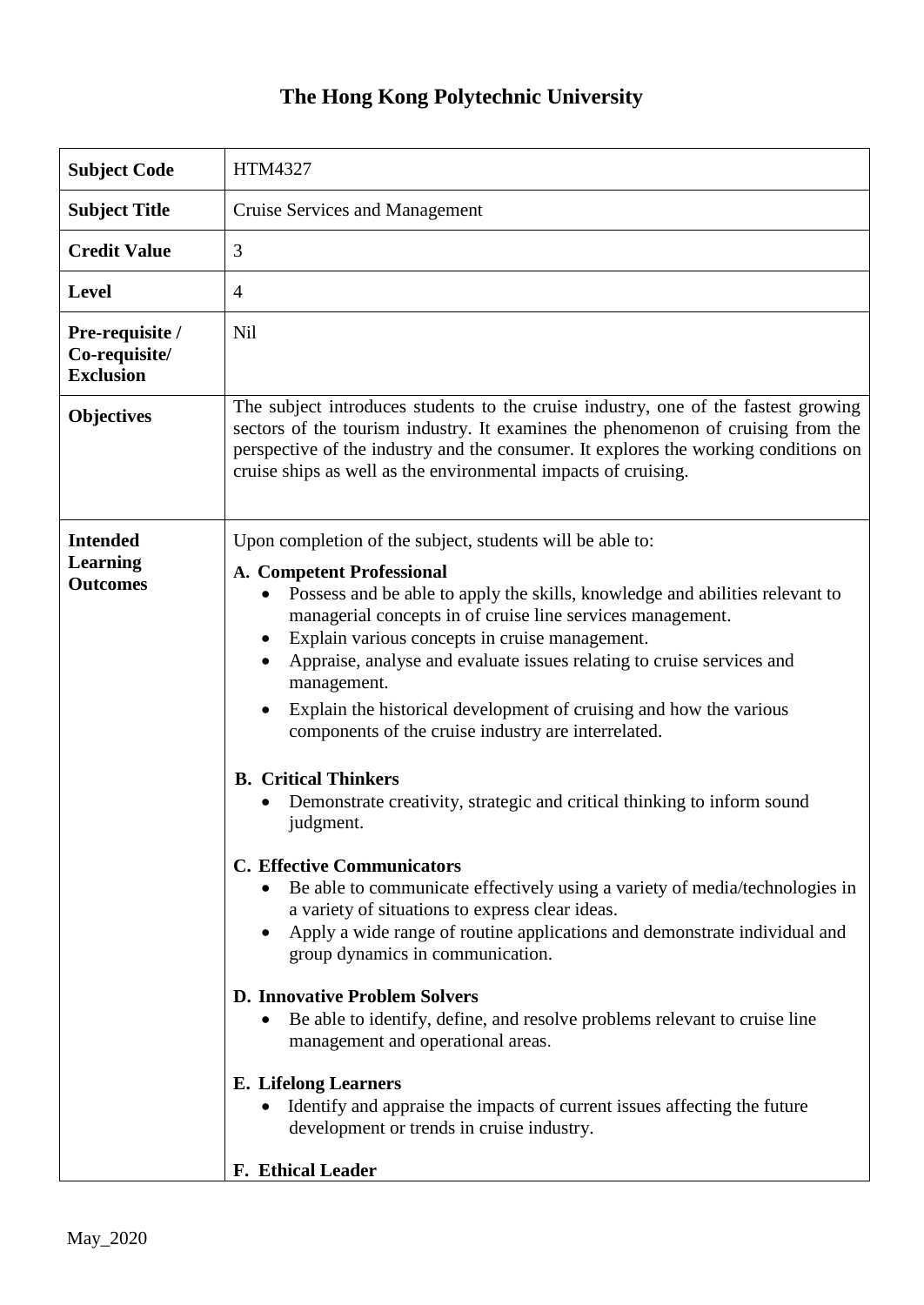## **The Hong Kong Polytechnic University**

| <b>Subject Code</b>                                   | <b>HTM4327</b>                                                                                                                                                                                                                                                                                                                                                                                                                                                                                                                                                                                                                                                                                                                                                                                                                                                                                                                                                                                                                                                                                                                   |
|-------------------------------------------------------|----------------------------------------------------------------------------------------------------------------------------------------------------------------------------------------------------------------------------------------------------------------------------------------------------------------------------------------------------------------------------------------------------------------------------------------------------------------------------------------------------------------------------------------------------------------------------------------------------------------------------------------------------------------------------------------------------------------------------------------------------------------------------------------------------------------------------------------------------------------------------------------------------------------------------------------------------------------------------------------------------------------------------------------------------------------------------------------------------------------------------------|
| <b>Subject Title</b>                                  | <b>Cruise Services and Management</b>                                                                                                                                                                                                                                                                                                                                                                                                                                                                                                                                                                                                                                                                                                                                                                                                                                                                                                                                                                                                                                                                                            |
| <b>Credit Value</b>                                   | 3                                                                                                                                                                                                                                                                                                                                                                                                                                                                                                                                                                                                                                                                                                                                                                                                                                                                                                                                                                                                                                                                                                                                |
| <b>Level</b>                                          | $\overline{4}$                                                                                                                                                                                                                                                                                                                                                                                                                                                                                                                                                                                                                                                                                                                                                                                                                                                                                                                                                                                                                                                                                                                   |
| Pre-requisite /<br>Co-requisite/<br><b>Exclusion</b>  | <b>Nil</b>                                                                                                                                                                                                                                                                                                                                                                                                                                                                                                                                                                                                                                                                                                                                                                                                                                                                                                                                                                                                                                                                                                                       |
| <b>Objectives</b>                                     | The subject introduces students to the cruise industry, one of the fastest growing<br>sectors of the tourism industry. It examines the phenomenon of cruising from the<br>perspective of the industry and the consumer. It explores the working conditions on<br>cruise ships as well as the environmental impacts of cruising.                                                                                                                                                                                                                                                                                                                                                                                                                                                                                                                                                                                                                                                                                                                                                                                                  |
| <b>Intended</b><br><b>Learning</b><br><b>Outcomes</b> | Upon completion of the subject, students will be able to:<br>A. Competent Professional<br>Possess and be able to apply the skills, knowledge and abilities relevant to<br>managerial concepts in of cruise line services management.<br>Explain various concepts in cruise management.<br>Appraise, analyse and evaluate issues relating to cruise services and<br>management.<br>Explain the historical development of cruising and how the various<br>components of the cruise industry are interrelated.<br><b>B.</b> Critical Thinkers<br>Demonstrate creativity, strategic and critical thinking to inform sound<br>judgment.<br><b>C. Effective Communicators</b><br>Be able to communicate effectively using a variety of media/technologies in<br>a variety of situations to express clear ideas.<br>Apply a wide range of routine applications and demonstrate individual and<br>$\bullet$<br>group dynamics in communication.<br><b>D. Innovative Problem Solvers</b><br>Be able to identify, define, and resolve problems relevant to cruise line<br>management and operational areas.<br><b>E.</b> Lifelong Learners |
|                                                       | Identify and appraise the impacts of current issues affecting the future<br>development or trends in cruise industry.<br>F. Ethical Leader                                                                                                                                                                                                                                                                                                                                                                                                                                                                                                                                                                                                                                                                                                                                                                                                                                                                                                                                                                                       |
|                                                       |                                                                                                                                                                                                                                                                                                                                                                                                                                                                                                                                                                                                                                                                                                                                                                                                                                                                                                                                                                                                                                                                                                                                  |